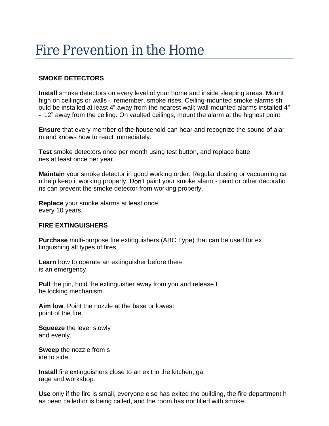# Fire Prevention in the Home

## **SMOKE DETECTORS**

**Install** smoke detectors on every level of your home and inside sleeping areas. Mount high on ceilings or walls – remember, smoke rises. Ceiling-mounted smoke alarms sh ould be installed at least 4" away from the nearest wall; wall-mounted alarms installed 4" – 12" away from the ceiling. On vaulted ceilings, mount the alarm at the highest point.

**Ensure** that every member of the household can hear and recognize the sound of alar m and knows how to react immediately.

**Test** smoke detectors once per month using test button, and replace batte ries at least once per year.

**Maintain** your smoke detector in good working order. Regular dusting or vacuuming ca n help keep it working properly. Don't paint your smoke alarm - paint or other decoratio ns can prevent the smoke detector from working properly.

**Replace** your smoke alarms at least once every 10 years.

#### **FIRE EXTINGUISHERS**

**Purchase** multi-purpose fire extinguishers (ABC Type) that can be used for ex tinguishing all types of fires.

**Learn** how to operate an extinguisher before there is an emergency.

**Pull** the pin, hold the extinguisher away from you and release t he locking mechanism.

**Aim low**. Point the nozzle at the base or lowest point of the fire.

**Squeeze** the lever slowly and evenly.

**Sweep** the nozzle from s ide to side.

**Install** fire extinguishers close to an exit in the kitchen, ga rage and workshop.

**Use** only if the fire is small, everyone else has exited the building, the fire department h as been called or is being called, and the room has not filled with smoke.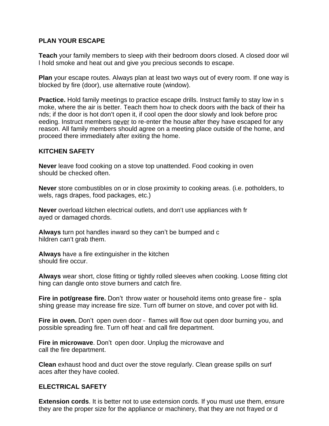## **PLAN YOUR ESCAPE**

**Teach** your family members to sleep with their bedroom doors closed. A closed door wil l hold smoke and heat out and give you precious seconds to escape.

**Plan** your escape routes. Always plan at least two ways out of every room. If one way is blocked by fire (door), use alternative route (window).

**Practice.** Hold family meetings to practice escape drills. Instruct family to stay low in s moke, where the air is better. Teach them how to check doors with the back of their ha nds; if the door is hot don't open it, if cool open the door slowly and look before proc eeding. Instruct members never to re-enter the house after they have escaped for any reason. All family members should agree on a meeting place outside of the home, and proceed there immediately after exiting the home.

#### **KITCHEN SAFETY**

**Never** leave food cooking on a stove top unattended. Food cooking in oven should be checked often.

**Never** store combustibles on or in close proximity to cooking areas. (i.e. potholders, to wels, rags drapes, food packages, etc.)

**Never** overload kitchen electrical outlets, and don't use appliances with fr ayed or damaged chords.

**Always** turn pot handles inward so they can't be bumped and c hildren can't grab them.

**Always** have a fire extinguisher in the kitchen should fire occur.

**Always** wear short, close fitting or tightly rolled sleeves when cooking. Loose fitting clot hing can dangle onto stove burners and catch fire.

**Fire in pot/grease fire.** Don't throw water or household items onto grease fire – spla shing grease may increase fire size. Turn off burner on stove, and cover pot with lid.

**Fire in oven.** Don't open oven door – flames will flow out open door burning you, and possible spreading fire. Turn off heat and call fire department.

**Fire in microwave**. Don't open door. Unplug the microwave and call the fire department.

**Clean** exhaust hood and duct over the stove regularly. Clean grease spills on surf aces after they have cooled.

### **ELECTRICAL SAFETY**

**Extension cords**. It is better not to use extension cords. If you must use them, ensure they are the proper size for the appliance or machinery, that they are not frayed or d